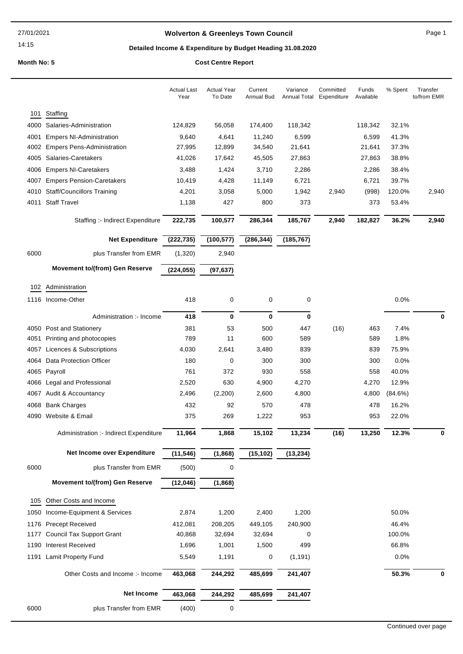## **Wolverton & Greenleys Town Council** Magnetic Page 1

## **Detailed Income & Expenditure by Budget Heading 31.08.2020**

|      |                                                                      | <b>Actual Last</b><br>Year | <b>Actual Year</b><br>To Date | Current<br>Annual Bud | Variance<br>Annual Total | Committed<br>Expenditure | Funds<br>Available | % Spent | Transfer<br>to/from EMR |
|------|----------------------------------------------------------------------|----------------------------|-------------------------------|-----------------------|--------------------------|--------------------------|--------------------|---------|-------------------------|
| 101  | Staffing                                                             |                            |                               |                       |                          |                          |                    |         |                         |
| 4000 | Salaries-Administration                                              | 124,829                    | 56,058                        | 174,400               | 118,342                  |                          | 118,342            | 32.1%   |                         |
| 4001 |                                                                      | 9,640                      | 4,641                         | 11,240                | 6,599                    |                          | 6,599              | 41.3%   |                         |
| 4002 | <b>Empers NI-Administration</b><br><b>Empers Pens-Administration</b> | 27,995                     | 12,899                        | 34,540                | 21,641                   |                          | 21,641             | 37.3%   |                         |
| 4005 | Salaries-Caretakers                                                  | 41,026                     | 17,642                        | 45,505                | 27,863                   |                          | 27,863             | 38.8%   |                         |
|      |                                                                      |                            |                               |                       |                          |                          |                    |         |                         |
| 4006 | <b>Empers NI-Caretakers</b>                                          | 3,488                      | 1,424                         | 3,710                 | 2,286                    |                          | 2,286              | 38.4%   |                         |
| 4007 | <b>Empers Pension-Caretakers</b>                                     | 10,419                     | 4,428                         | 11,149                | 6,721                    |                          | 6,721              | 39.7%   |                         |
| 4010 | <b>Staff/Councillors Training</b>                                    | 4,201                      | 3,058                         | 5,000                 | 1,942                    | 2,940                    | (998)              | 120.0%  | 2,940                   |
| 4011 | <b>Staff Travel</b>                                                  | 1,138                      | 427                           | 800                   | 373                      |                          | 373                | 53.4%   |                         |
|      | Staffing :- Indirect Expenditure                                     | 222,735                    | 100,577                       | 286,344               | 185,767                  | 2,940                    | 182,827            | 36.2%   | 2,940                   |
|      | <b>Net Expenditure</b>                                               | (222, 735)                 | (100, 577)                    | (286, 344)            | (185, 767)               |                          |                    |         |                         |
| 6000 | plus Transfer from EMR                                               | (1, 320)                   | 2,940                         |                       |                          |                          |                    |         |                         |
|      | <b>Movement to/(from) Gen Reserve</b>                                | (224, 055)                 | (97, 637)                     |                       |                          |                          |                    |         |                         |
| 102  | Administration                                                       |                            |                               |                       |                          |                          |                    |         |                         |
|      | 1116 Income-Other                                                    | 418                        | 0                             | 0                     | 0                        |                          |                    | 0.0%    |                         |
|      | Administration :- Income                                             | 418                        | 0                             | 0                     | 0                        |                          |                    |         | 0                       |
|      | 4050 Post and Stationery                                             | 381                        | 53                            | 500                   | 447                      | (16)                     | 463                | 7.4%    |                         |
| 4051 | Printing and photocopies                                             | 789                        | 11                            | 600                   | 589                      |                          | 589                | 1.8%    |                         |
| 4057 | Licences & Subscriptions                                             | 4,030                      | 2,641                         | 3,480                 | 839                      |                          | 839                | 75.9%   |                         |
| 4064 | Data Protection Officer                                              | 180                        | 0                             | 300                   | 300                      |                          | 300                | 0.0%    |                         |
|      | 4065 Payroll                                                         | 761                        | 372                           | 930                   | 558                      |                          | 558                | 40.0%   |                         |
| 4066 | Legal and Professional                                               | 2,520                      | 630                           | 4,900                 | 4,270                    |                          | 4,270              | 12.9%   |                         |
| 4067 | Audit & Accountancy                                                  | 2,496                      | (2,200)                       | 2,600                 | 4,800                    |                          | 4,800              | (84.6%) |                         |
| 4068 | <b>Bank Charges</b>                                                  | 432                        | 92                            | 570                   | 478                      |                          | 478                | 16.2%   |                         |
|      | 4090 Website & Email                                                 | 375                        |                               |                       | 953                      |                          | 953                |         |                         |
|      |                                                                      |                            | 269                           | 1,222                 |                          |                          |                    | 22.0%   |                         |
|      | Administration :- Indirect Expenditure                               | 11,964                     | 1,868                         | 15,102                | 13,234                   | (16)                     | 13,250             | 12.3%   | U                       |
|      | Net Income over Expenditure                                          | (11, 546)                  | (1,868)                       | (15, 102)             | (13, 234)                |                          |                    |         |                         |
| 6000 | plus Transfer from EMR                                               | (500)                      | 0                             |                       |                          |                          |                    |         |                         |
|      | <b>Movement to/(from) Gen Reserve</b>                                | (12,046)                   | (1,868)                       |                       |                          |                          |                    |         |                         |
| 105  | Other Costs and Income                                               |                            |                               |                       |                          |                          |                    |         |                         |
| 1050 | Income-Equipment & Services                                          | 2,874                      | 1,200                         | 2,400                 | 1,200                    |                          |                    | 50.0%   |                         |
| 1176 | <b>Precept Received</b>                                              | 412,081                    | 208,205                       | 449,105               | 240,900                  |                          |                    | 46.4%   |                         |
| 1177 | <b>Council Tax Support Grant</b>                                     | 40,868                     | 32,694                        | 32,694                | 0                        |                          |                    | 100.0%  |                         |
| 1190 | <b>Interest Received</b>                                             | 1,696                      | 1,001                         | 1,500                 | 499                      |                          |                    | 66.8%   |                         |
| 1191 | Lamit Property Fund                                                  | 5,549                      | 1,191                         | 0                     | (1, 191)                 |                          |                    | 0.0%    |                         |
|      | Other Costs and Income :- Income                                     | 463,068                    | 244,292                       | 485,699               | 241,407                  |                          |                    | 50.3%   | 0                       |
|      | <b>Net Income</b>                                                    | 463,068                    | 244,292                       | 485,699               | 241,407                  |                          |                    |         |                         |
| 6000 | plus Transfer from EMR                                               | (400)                      | 0                             |                       |                          |                          |                    |         |                         |
|      |                                                                      |                            |                               |                       |                          |                          |                    |         |                         |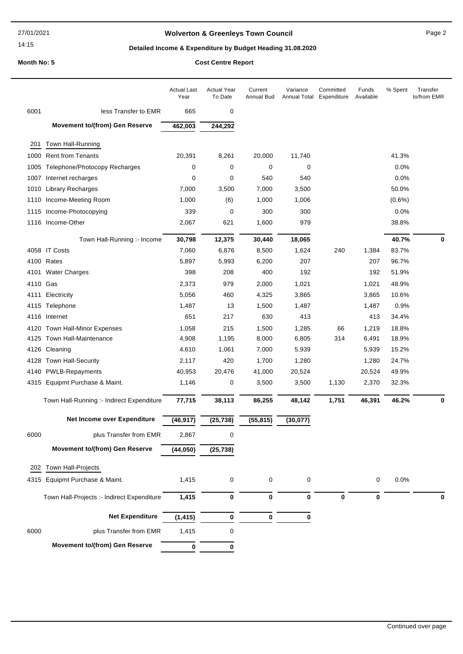## **Wolverton & Greenleys Town Council** Magness Council Page 2

## **Detailed Income & Expenditure by Budget Heading 31.08.2020**

|          |                                            | <b>Actual Last</b><br>Year | <b>Actual Year</b><br>To Date | Current<br>Annual Bud | Variance<br>Annual Total | Committed<br>Expenditure | Funds<br>Available | % Spent   | Transfer<br>to/from EMR |
|----------|--------------------------------------------|----------------------------|-------------------------------|-----------------------|--------------------------|--------------------------|--------------------|-----------|-------------------------|
| 6001     | less Transfer to EMR                       | 665                        | 0                             |                       |                          |                          |                    |           |                         |
|          | <b>Movement to/(from) Gen Reserve</b>      | 462,003                    | 244,292                       |                       |                          |                          |                    |           |                         |
|          |                                            |                            |                               |                       |                          |                          |                    |           |                         |
| 201      | Town Hall-Running                          |                            |                               |                       |                          |                          |                    |           |                         |
|          | 1000 Rent from Tenants                     | 20,391                     | 8,261                         | 20,000                | 11,740                   |                          |                    | 41.3%     |                         |
| 1005     | Telephone/Photocopy Recharges              | 0                          | 0                             | 0                     | 0                        |                          |                    | $0.0\%$   |                         |
|          | 1007 Internet recharges                    | 0                          | 0                             | 540                   | 540                      |                          |                    | 0.0%      |                         |
|          | 1010 Library Recharges                     | 7,000                      | 3,500                         | 7,000                 | 3,500                    |                          |                    | 50.0%     |                         |
|          | 1110 Income-Meeting Room                   | 1,000                      | (6)                           | 1,000                 | 1,006                    |                          |                    | $(0.6\%)$ |                         |
|          | 1115 Income-Photocopying                   | 339                        | 0                             | 300                   | 300                      |                          |                    | 0.0%      |                         |
|          | 1116 Income-Other                          | 2,067                      | 621                           | 1,600                 | 979                      |                          |                    | 38.8%     |                         |
|          | Town Hall-Running :- Income                | 30,798                     | 12,375                        | 30,440                | 18,065                   |                          |                    | 40.7%     | 0                       |
|          | 4058 IT Costs                              | 7,060                      | 6,876                         | 8,500                 | 1,624                    | 240                      | 1,384              | 83.7%     |                         |
|          | 4100 Rates                                 | 5,897                      | 5,993                         | 6,200                 | 207                      |                          | 207                | 96.7%     |                         |
|          | 4101 Water Charges                         | 398                        | 208                           | 400                   | 192                      |                          | 192                | 51.9%     |                         |
| 4110 Gas |                                            | 2,373                      | 979                           | 2,000                 | 1,021                    |                          | 1,021              | 48.9%     |                         |
|          | 4111 Electricity                           | 5,056                      | 460                           | 4,325                 | 3,865                    |                          | 3,865              | 10.6%     |                         |
|          | 4115 Telephone                             | 1,487                      | 13                            | 1,500                 | 1,487                    |                          | 1,487              | 0.9%      |                         |
|          | 4116 Internet                              | 651                        | 217                           | 630                   | 413                      |                          | 413                | 34.4%     |                         |
|          | 4120 Town Hall-Minor Expenses              | 1,058                      | 215                           | 1,500                 | 1,285                    | 66                       | 1,219              | 18.8%     |                         |
|          | 4125 Town Hall-Maintenance                 | 4,908                      | 1,195                         | 8,000                 | 6,805                    | 314                      | 6,491              | 18.9%     |                         |
| 4126     | Cleaning                                   | 4,610                      | 1,061                         | 7,000                 | 5,939                    |                          | 5,939              | 15.2%     |                         |
|          | 4128 Town Hall-Security                    | 2,117                      | 420                           | 1,700                 | 1,280                    |                          | 1,280              | 24.7%     |                         |
|          | 4140 PWLB-Repayments                       | 40,953                     | 20,476                        | 41,000                | 20,524                   |                          | 20,524             | 49.9%     |                         |
|          | 4315 Equipmt Purchase & Maint.             | 1,146                      | 0                             | 3,500                 | 3,500                    | 1,130                    | 2,370              | 32.3%     |                         |
|          | Town Hall-Running :- Indirect Expenditure  | 77,715                     | 38,113                        | 86,255                | 48,142                   | 1,751                    | 46,391             | 46.2%     | $\mathbf 0$             |
|          | Net Income over Expenditure                | (46, 917)                  | (25, 738)                     | (55, 815)             | (30, 077)                |                          |                    |           |                         |
| 6000     | plus Transfer from EMR                     | 2,867                      | 0                             |                       |                          |                          |                    |           |                         |
|          | <b>Movement to/(from) Gen Reserve</b>      | (44, 050)                  | (25, 738)                     |                       |                          |                          |                    |           |                         |
| 202      | Town Hall-Projects                         |                            |                               |                       |                          |                          |                    |           |                         |
|          | 4315 Equipmt Purchase & Maint.             | 1,415                      | 0                             | 0                     | 0                        |                          | 0                  | 0.0%      |                         |
|          |                                            |                            |                               |                       |                          |                          |                    |           |                         |
|          | Town Hall-Projects :- Indirect Expenditure | 1,415                      | 0                             | $\bf{0}$              | $\bf{0}$                 | $\bf{0}$                 | 0                  |           | 0                       |
|          | <b>Net Expenditure</b>                     | (1, 415)                   | 0                             | 0                     | 0                        |                          |                    |           |                         |
| 6000     | plus Transfer from EMR                     | 1,415                      | $\mathbf 0$                   |                       |                          |                          |                    |           |                         |
|          | <b>Movement to/(from) Gen Reserve</b>      | 0                          | 0                             |                       |                          |                          |                    |           |                         |
|          |                                            |                            |                               |                       |                          |                          |                    |           |                         |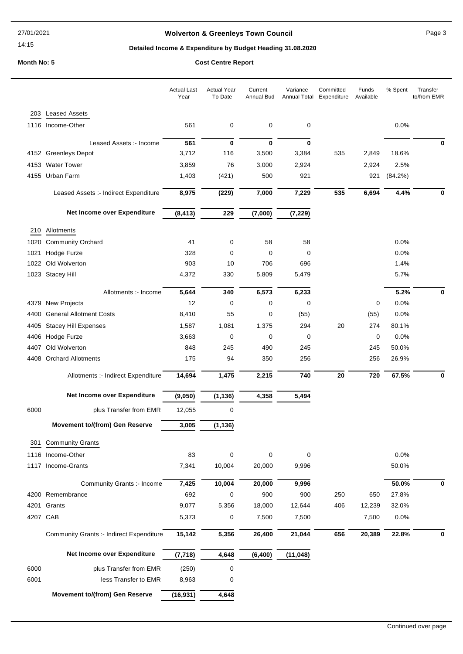# **Wolverton & Greenleys Town Council** Magness Council Page 3

## **Detailed Income & Expenditure by Budget Heading 31.08.2020**

|      |                                                 | <b>Actual Last</b><br>Year | <b>Actual Year</b><br>To Date | Current<br>Annual Bud | Variance<br>Annual Total | Committed<br>Expenditure | Funds<br>Available | % Spent | Transfer<br>to/from EMR |
|------|-------------------------------------------------|----------------------------|-------------------------------|-----------------------|--------------------------|--------------------------|--------------------|---------|-------------------------|
| 203  | <b>Leased Assets</b>                            |                            |                               |                       |                          |                          |                    |         |                         |
|      | 1116 Income-Other                               | 561                        | 0                             | 0                     | 0                        |                          |                    | 0.0%    |                         |
|      |                                                 |                            |                               |                       |                          |                          |                    |         |                         |
|      | Leased Assets :- Income<br>4152 Greenleys Depot | 561<br>3,712               | $\bf{0}$<br>116               | 0<br>3,500            | 0<br>3,384               | 535                      | 2,849              | 18.6%   | 0                       |
|      | 4153 Water Tower                                | 3,859                      | 76                            | 3,000                 | 2,924                    |                          | 2,924              | 2.5%    |                         |
|      | 4155 Urban Farm                                 | 1,403                      | (421)                         | 500                   | 921                      |                          | 921                | (84.2%) |                         |
|      |                                                 |                            |                               |                       |                          |                          |                    |         |                         |
|      | Leased Assets :- Indirect Expenditure           | 8,975                      | (229)                         | 7,000                 | 7,229                    | 535                      | 6,694              | 4.4%    | U                       |
|      | Net Income over Expenditure                     | (8, 413)                   | 229                           | (7,000)               | (7, 229)                 |                          |                    |         |                         |
| 210  | Allotments                                      |                            |                               |                       |                          |                          |                    |         |                         |
| 1020 | <b>Community Orchard</b>                        | 41                         | 0                             | 58                    | 58                       |                          |                    | 0.0%    |                         |
|      | 1021 Hodge Furze                                | 328                        | 0                             | $\mathbf 0$           | 0                        |                          |                    | 0.0%    |                         |
|      | 1022 Old Wolverton                              | 903                        | 10                            | 706                   | 696                      |                          |                    | 1.4%    |                         |
|      | 1023 Stacey Hill                                | 4,372                      | 330                           | 5,809                 | 5,479                    |                          |                    | 5.7%    |                         |
|      | Allotments :- Income                            | 5,644                      | 340                           | 6,573                 | 6,233                    |                          |                    | 5.2%    | 0                       |
|      | 4379 New Projects                               | 12                         | $\mathbf 0$                   | 0                     | 0                        |                          | 0                  | 0.0%    |                         |
| 4400 | <b>General Allotment Costs</b>                  | 8,410                      | 55                            | 0                     | (55)                     |                          | (55)               | 0.0%    |                         |
| 4405 | <b>Stacey Hill Expenses</b>                     | 1,587                      | 1,081                         | 1,375                 | 294                      | 20                       | 274                | 80.1%   |                         |
|      | 4406 Hodge Furze                                | 3,663                      | 0                             | 0                     | 0                        |                          | 0                  | 0.0%    |                         |
|      | 4407 Old Wolverton                              | 848                        | 245                           | 490                   | 245                      |                          | 245                | 50.0%   |                         |
|      | 4408 Orchard Allotments                         | 175                        | 94                            | 350                   | 256                      |                          | 256                | 26.9%   |                         |
|      | Allotments :- Indirect Expenditure              | 14,694                     | 1,475                         | 2,215                 | 740                      | 20                       | 720                | 67.5%   | 0                       |
|      | Net Income over Expenditure                     | (9,050)                    | (1, 136)                      | 4,358                 | 5,494                    |                          |                    |         |                         |
| 6000 | plus Transfer from EMR                          | 12,055                     | 0                             |                       |                          |                          |                    |         |                         |
|      | <b>Movement to/(from) Gen Reserve</b>           | 3,005                      | (1, 136)                      |                       |                          |                          |                    |         |                         |
|      | 301 Community Grants                            |                            |                               |                       |                          |                          |                    |         |                         |
|      | 1116 Income-Other                               | 83                         | 0                             | 0                     | 0                        |                          |                    | 0.0%    |                         |
|      | 1117 Income-Grants                              | 7,341                      | 10,004                        | 20,000                | 9,996                    |                          |                    | 50.0%   |                         |
|      |                                                 |                            |                               |                       |                          |                          |                    |         |                         |
|      | Community Grants :- Income                      | 7,425                      | 10,004<br>0                   | 20,000                | 9,996                    |                          |                    | 50.0%   | 0                       |
|      | 4200 Remembrance<br>4201 Grants                 | 692<br>9,077               | 5,356                         | 900                   | 900                      | 250<br>406               | 650                | 27.8%   |                         |
|      |                                                 |                            |                               | 18,000                | 12,644                   |                          | 12,239             | 32.0%   |                         |
|      | 4207 CAB                                        | 5,373                      | 0                             | 7,500                 | 7,500                    |                          | 7,500              | 0.0%    |                         |
|      | Community Grants :- Indirect Expenditure        | 15,142                     | 5,356                         | 26,400                | 21,044                   | 656                      | 20,389             | 22.8%   | 0                       |
|      | Net Income over Expenditure                     | (7, 718)                   | 4,648                         | (6, 400)              | (11, 048)                |                          |                    |         |                         |
| 6000 | plus Transfer from EMR                          | (250)                      | 0                             |                       |                          |                          |                    |         |                         |
| 6001 | less Transfer to EMR                            | 8,963                      | 0                             |                       |                          |                          |                    |         |                         |
|      | Movement to/(from) Gen Reserve                  | (16, 931)                  | 4,648                         |                       |                          |                          |                    |         |                         |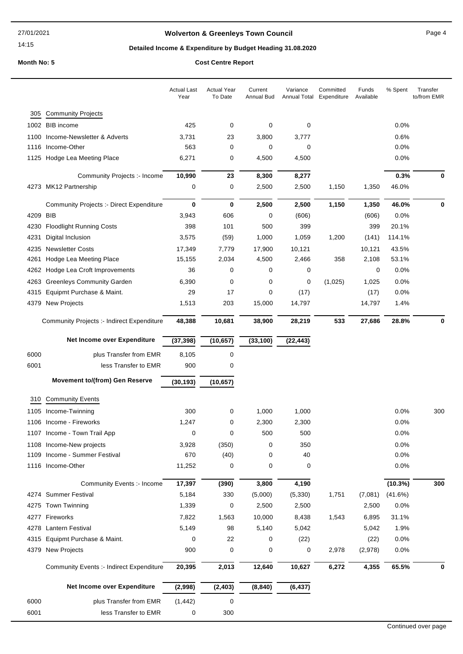## **Wolverton & Greenleys Town Council** Magnetic Page 4

## **Detailed Income & Expenditure by Budget Heading 31.08.2020**

| <b>Community Projects</b><br>305<br>1002 BIB income<br>425<br>0<br>0.0%<br>0<br>0<br>0.6%<br>1100 Income-Newsletter & Adverts<br>3,731<br>23<br>3,800<br>3,777<br>1116 Income-Other<br>563<br>0<br>0.0%<br>0<br>0<br>6,271<br>4,500<br>0.0%<br>1125 Hodge Lea Meeting Place<br>0<br>4,500<br>23<br>Community Projects :- Income<br>10,990<br>8,300<br>8,277<br>0.3%<br>0<br>4273 MK12 Partnership<br>0<br>0<br>2,500<br>2,500<br>1,150<br>1,350<br>46.0%<br>$\bf{0}$<br><b>Community Projects :- Direct Expenditure</b><br>0<br>2,500<br>2,500<br>1,150<br>1,350<br>46.0%<br>0<br>4209 BIB<br>0.0%<br>3,943<br>606<br>0<br>(606)<br>(606)<br><b>Floodlight Running Costs</b><br>398<br>101<br>500<br>399<br>399<br>20.1%<br>4230<br>3,575<br>(59)<br>1,000<br>1,059<br>1,200<br>(141)<br>114.1%<br>4231<br>Digital Inclusion<br><b>Newsletter Costs</b><br>17,349<br>7,779<br>17,900<br>10,121<br>10,121<br>43.5%<br>4235<br>2,034<br>358<br>53.1%<br>4261<br>Hodge Lea Meeting Place<br>15,155<br>4,500<br>2,466<br>2,108<br>36<br>0.0%<br>4262<br>Hodge Lea Croft Improvements<br>0<br>0<br>0<br>0<br><b>Greenleys Community Garden</b><br>0<br>(1,025)<br>0.0%<br>6,390<br>0<br>0<br>1,025<br>4263<br>Equipmt Purchase & Maint.<br>29<br>17<br>0.0%<br>4315<br>0<br>(17)<br>(17)<br>4379 New Projects<br>1,513<br>203<br>15,000<br>14,797<br>14,797<br>1.4%<br>533<br>Community Projects :- Indirect Expenditure<br>48,388<br>10,681<br>38,900<br>28,219<br>27,686<br>28.8%<br>0<br>Net Income over Expenditure<br>(37, 398)<br>(10, 657)<br>(33, 100)<br>(22, 443)<br>6000<br>plus Transfer from EMR<br>8,105<br>0<br>6001<br>less Transfer to EMR<br>900<br>0<br><b>Movement to/(from) Gen Reserve</b><br>(30, 193)<br>(10, 657)<br><b>Community Events</b><br>310<br>0.0%<br>300<br>1105 Income-Twinning<br>300<br>0<br>1,000<br>1,000<br>1106 Income - Fireworks<br>1,247<br>2,300<br>0.0%<br>0<br>2,300<br>500<br>500<br>0.0%<br>1107 Income - Town Trail App<br>0<br>0<br>1108 Income-New projects<br>3,928<br>(350)<br>0<br>350<br>0.0%<br>1109 Income - Summer Festival<br>670<br>(40)<br>40<br>0.0%<br>0<br>1116 Income-Other<br>11,252<br>0<br>0<br>0<br>0.0%<br>17,397<br>3,800<br>4,190<br>Community Events :- Income<br>(390)<br>(10.3%)<br>300<br>4274 Summer Festival<br>5,184<br>330<br>(5,000)<br>(5, 330)<br>1,751<br>(41.6%)<br>(7,081)<br>1,339<br>0<br>2,500<br>2,500<br>0.0%<br>4275 Town Twinning<br>2,500<br>4277 Fireworks<br>7,822<br>1,563<br>10,000<br>1,543<br>6,895<br>31.1%<br>8,438<br>4278 Lantern Festival<br>5,149<br>98<br>5,140<br>5,042<br>5,042<br>1.9%<br>4315 Equipmt Purchase & Maint.<br>0<br>22<br>0.0%<br>0<br>(22)<br>(22)<br>4379 New Projects<br>900<br>0<br>2,978<br>0.0%<br>0<br>0<br>(2,978)<br>6,272<br>20,395<br>2,013<br>12,640<br>10,627<br>4,355<br>65.5%<br><b>Community Events :- Indirect Expenditure</b><br>0<br>Net Income over Expenditure<br>(2,998)<br>(2, 403)<br>(8, 840)<br>(6, 437)<br>6000<br>plus Transfer from EMR<br>(1, 442)<br>0<br>6001<br>less Transfer to EMR<br>300<br>0 |  | <b>Actual Last</b><br>Year | <b>Actual Year</b><br>To Date | Current<br>Annual Bud | Variance<br>Annual Total | Committed<br>Expenditure | Funds<br>Available | % Spent | Transfer<br>to/from EMR |
|-----------------------------------------------------------------------------------------------------------------------------------------------------------------------------------------------------------------------------------------------------------------------------------------------------------------------------------------------------------------------------------------------------------------------------------------------------------------------------------------------------------------------------------------------------------------------------------------------------------------------------------------------------------------------------------------------------------------------------------------------------------------------------------------------------------------------------------------------------------------------------------------------------------------------------------------------------------------------------------------------------------------------------------------------------------------------------------------------------------------------------------------------------------------------------------------------------------------------------------------------------------------------------------------------------------------------------------------------------------------------------------------------------------------------------------------------------------------------------------------------------------------------------------------------------------------------------------------------------------------------------------------------------------------------------------------------------------------------------------------------------------------------------------------------------------------------------------------------------------------------------------------------------------------------------------------------------------------------------------------------------------------------------------------------------------------------------------------------------------------------------------------------------------------------------------------------------------------------------------------------------------------------------------------------------------------------------------------------------------------------------------------------------------------------------------------------------------------------------------------------------------------------------------------------------------------------------------------------------------------------------------------------------------------------------------------------------------------------------------------------------------------------------------------------------------------------------------------------------------------------------------------------------------------------------------------------------------------------------------------------------------------------------------------------------------|--|----------------------------|-------------------------------|-----------------------|--------------------------|--------------------------|--------------------|---------|-------------------------|
|                                                                                                                                                                                                                                                                                                                                                                                                                                                                                                                                                                                                                                                                                                                                                                                                                                                                                                                                                                                                                                                                                                                                                                                                                                                                                                                                                                                                                                                                                                                                                                                                                                                                                                                                                                                                                                                                                                                                                                                                                                                                                                                                                                                                                                                                                                                                                                                                                                                                                                                                                                                                                                                                                                                                                                                                                                                                                                                                                                                                                                                           |  |                            |                               |                       |                          |                          |                    |         |                         |
|                                                                                                                                                                                                                                                                                                                                                                                                                                                                                                                                                                                                                                                                                                                                                                                                                                                                                                                                                                                                                                                                                                                                                                                                                                                                                                                                                                                                                                                                                                                                                                                                                                                                                                                                                                                                                                                                                                                                                                                                                                                                                                                                                                                                                                                                                                                                                                                                                                                                                                                                                                                                                                                                                                                                                                                                                                                                                                                                                                                                                                                           |  |                            |                               |                       |                          |                          |                    |         |                         |
|                                                                                                                                                                                                                                                                                                                                                                                                                                                                                                                                                                                                                                                                                                                                                                                                                                                                                                                                                                                                                                                                                                                                                                                                                                                                                                                                                                                                                                                                                                                                                                                                                                                                                                                                                                                                                                                                                                                                                                                                                                                                                                                                                                                                                                                                                                                                                                                                                                                                                                                                                                                                                                                                                                                                                                                                                                                                                                                                                                                                                                                           |  |                            |                               |                       |                          |                          |                    |         |                         |
|                                                                                                                                                                                                                                                                                                                                                                                                                                                                                                                                                                                                                                                                                                                                                                                                                                                                                                                                                                                                                                                                                                                                                                                                                                                                                                                                                                                                                                                                                                                                                                                                                                                                                                                                                                                                                                                                                                                                                                                                                                                                                                                                                                                                                                                                                                                                                                                                                                                                                                                                                                                                                                                                                                                                                                                                                                                                                                                                                                                                                                                           |  |                            |                               |                       |                          |                          |                    |         |                         |
|                                                                                                                                                                                                                                                                                                                                                                                                                                                                                                                                                                                                                                                                                                                                                                                                                                                                                                                                                                                                                                                                                                                                                                                                                                                                                                                                                                                                                                                                                                                                                                                                                                                                                                                                                                                                                                                                                                                                                                                                                                                                                                                                                                                                                                                                                                                                                                                                                                                                                                                                                                                                                                                                                                                                                                                                                                                                                                                                                                                                                                                           |  |                            |                               |                       |                          |                          |                    |         |                         |
|                                                                                                                                                                                                                                                                                                                                                                                                                                                                                                                                                                                                                                                                                                                                                                                                                                                                                                                                                                                                                                                                                                                                                                                                                                                                                                                                                                                                                                                                                                                                                                                                                                                                                                                                                                                                                                                                                                                                                                                                                                                                                                                                                                                                                                                                                                                                                                                                                                                                                                                                                                                                                                                                                                                                                                                                                                                                                                                                                                                                                                                           |  |                            |                               |                       |                          |                          |                    |         |                         |
|                                                                                                                                                                                                                                                                                                                                                                                                                                                                                                                                                                                                                                                                                                                                                                                                                                                                                                                                                                                                                                                                                                                                                                                                                                                                                                                                                                                                                                                                                                                                                                                                                                                                                                                                                                                                                                                                                                                                                                                                                                                                                                                                                                                                                                                                                                                                                                                                                                                                                                                                                                                                                                                                                                                                                                                                                                                                                                                                                                                                                                                           |  |                            |                               |                       |                          |                          |                    |         |                         |
|                                                                                                                                                                                                                                                                                                                                                                                                                                                                                                                                                                                                                                                                                                                                                                                                                                                                                                                                                                                                                                                                                                                                                                                                                                                                                                                                                                                                                                                                                                                                                                                                                                                                                                                                                                                                                                                                                                                                                                                                                                                                                                                                                                                                                                                                                                                                                                                                                                                                                                                                                                                                                                                                                                                                                                                                                                                                                                                                                                                                                                                           |  |                            |                               |                       |                          |                          |                    |         |                         |
|                                                                                                                                                                                                                                                                                                                                                                                                                                                                                                                                                                                                                                                                                                                                                                                                                                                                                                                                                                                                                                                                                                                                                                                                                                                                                                                                                                                                                                                                                                                                                                                                                                                                                                                                                                                                                                                                                                                                                                                                                                                                                                                                                                                                                                                                                                                                                                                                                                                                                                                                                                                                                                                                                                                                                                                                                                                                                                                                                                                                                                                           |  |                            |                               |                       |                          |                          |                    |         |                         |
|                                                                                                                                                                                                                                                                                                                                                                                                                                                                                                                                                                                                                                                                                                                                                                                                                                                                                                                                                                                                                                                                                                                                                                                                                                                                                                                                                                                                                                                                                                                                                                                                                                                                                                                                                                                                                                                                                                                                                                                                                                                                                                                                                                                                                                                                                                                                                                                                                                                                                                                                                                                                                                                                                                                                                                                                                                                                                                                                                                                                                                                           |  |                            |                               |                       |                          |                          |                    |         |                         |
|                                                                                                                                                                                                                                                                                                                                                                                                                                                                                                                                                                                                                                                                                                                                                                                                                                                                                                                                                                                                                                                                                                                                                                                                                                                                                                                                                                                                                                                                                                                                                                                                                                                                                                                                                                                                                                                                                                                                                                                                                                                                                                                                                                                                                                                                                                                                                                                                                                                                                                                                                                                                                                                                                                                                                                                                                                                                                                                                                                                                                                                           |  |                            |                               |                       |                          |                          |                    |         |                         |
|                                                                                                                                                                                                                                                                                                                                                                                                                                                                                                                                                                                                                                                                                                                                                                                                                                                                                                                                                                                                                                                                                                                                                                                                                                                                                                                                                                                                                                                                                                                                                                                                                                                                                                                                                                                                                                                                                                                                                                                                                                                                                                                                                                                                                                                                                                                                                                                                                                                                                                                                                                                                                                                                                                                                                                                                                                                                                                                                                                                                                                                           |  |                            |                               |                       |                          |                          |                    |         |                         |
|                                                                                                                                                                                                                                                                                                                                                                                                                                                                                                                                                                                                                                                                                                                                                                                                                                                                                                                                                                                                                                                                                                                                                                                                                                                                                                                                                                                                                                                                                                                                                                                                                                                                                                                                                                                                                                                                                                                                                                                                                                                                                                                                                                                                                                                                                                                                                                                                                                                                                                                                                                                                                                                                                                                                                                                                                                                                                                                                                                                                                                                           |  |                            |                               |                       |                          |                          |                    |         |                         |
|                                                                                                                                                                                                                                                                                                                                                                                                                                                                                                                                                                                                                                                                                                                                                                                                                                                                                                                                                                                                                                                                                                                                                                                                                                                                                                                                                                                                                                                                                                                                                                                                                                                                                                                                                                                                                                                                                                                                                                                                                                                                                                                                                                                                                                                                                                                                                                                                                                                                                                                                                                                                                                                                                                                                                                                                                                                                                                                                                                                                                                                           |  |                            |                               |                       |                          |                          |                    |         |                         |
|                                                                                                                                                                                                                                                                                                                                                                                                                                                                                                                                                                                                                                                                                                                                                                                                                                                                                                                                                                                                                                                                                                                                                                                                                                                                                                                                                                                                                                                                                                                                                                                                                                                                                                                                                                                                                                                                                                                                                                                                                                                                                                                                                                                                                                                                                                                                                                                                                                                                                                                                                                                                                                                                                                                                                                                                                                                                                                                                                                                                                                                           |  |                            |                               |                       |                          |                          |                    |         |                         |
|                                                                                                                                                                                                                                                                                                                                                                                                                                                                                                                                                                                                                                                                                                                                                                                                                                                                                                                                                                                                                                                                                                                                                                                                                                                                                                                                                                                                                                                                                                                                                                                                                                                                                                                                                                                                                                                                                                                                                                                                                                                                                                                                                                                                                                                                                                                                                                                                                                                                                                                                                                                                                                                                                                                                                                                                                                                                                                                                                                                                                                                           |  |                            |                               |                       |                          |                          |                    |         |                         |
|                                                                                                                                                                                                                                                                                                                                                                                                                                                                                                                                                                                                                                                                                                                                                                                                                                                                                                                                                                                                                                                                                                                                                                                                                                                                                                                                                                                                                                                                                                                                                                                                                                                                                                                                                                                                                                                                                                                                                                                                                                                                                                                                                                                                                                                                                                                                                                                                                                                                                                                                                                                                                                                                                                                                                                                                                                                                                                                                                                                                                                                           |  |                            |                               |                       |                          |                          |                    |         |                         |
|                                                                                                                                                                                                                                                                                                                                                                                                                                                                                                                                                                                                                                                                                                                                                                                                                                                                                                                                                                                                                                                                                                                                                                                                                                                                                                                                                                                                                                                                                                                                                                                                                                                                                                                                                                                                                                                                                                                                                                                                                                                                                                                                                                                                                                                                                                                                                                                                                                                                                                                                                                                                                                                                                                                                                                                                                                                                                                                                                                                                                                                           |  |                            |                               |                       |                          |                          |                    |         |                         |
|                                                                                                                                                                                                                                                                                                                                                                                                                                                                                                                                                                                                                                                                                                                                                                                                                                                                                                                                                                                                                                                                                                                                                                                                                                                                                                                                                                                                                                                                                                                                                                                                                                                                                                                                                                                                                                                                                                                                                                                                                                                                                                                                                                                                                                                                                                                                                                                                                                                                                                                                                                                                                                                                                                                                                                                                                                                                                                                                                                                                                                                           |  |                            |                               |                       |                          |                          |                    |         |                         |
|                                                                                                                                                                                                                                                                                                                                                                                                                                                                                                                                                                                                                                                                                                                                                                                                                                                                                                                                                                                                                                                                                                                                                                                                                                                                                                                                                                                                                                                                                                                                                                                                                                                                                                                                                                                                                                                                                                                                                                                                                                                                                                                                                                                                                                                                                                                                                                                                                                                                                                                                                                                                                                                                                                                                                                                                                                                                                                                                                                                                                                                           |  |                            |                               |                       |                          |                          |                    |         |                         |
|                                                                                                                                                                                                                                                                                                                                                                                                                                                                                                                                                                                                                                                                                                                                                                                                                                                                                                                                                                                                                                                                                                                                                                                                                                                                                                                                                                                                                                                                                                                                                                                                                                                                                                                                                                                                                                                                                                                                                                                                                                                                                                                                                                                                                                                                                                                                                                                                                                                                                                                                                                                                                                                                                                                                                                                                                                                                                                                                                                                                                                                           |  |                            |                               |                       |                          |                          |                    |         |                         |
|                                                                                                                                                                                                                                                                                                                                                                                                                                                                                                                                                                                                                                                                                                                                                                                                                                                                                                                                                                                                                                                                                                                                                                                                                                                                                                                                                                                                                                                                                                                                                                                                                                                                                                                                                                                                                                                                                                                                                                                                                                                                                                                                                                                                                                                                                                                                                                                                                                                                                                                                                                                                                                                                                                                                                                                                                                                                                                                                                                                                                                                           |  |                            |                               |                       |                          |                          |                    |         |                         |
|                                                                                                                                                                                                                                                                                                                                                                                                                                                                                                                                                                                                                                                                                                                                                                                                                                                                                                                                                                                                                                                                                                                                                                                                                                                                                                                                                                                                                                                                                                                                                                                                                                                                                                                                                                                                                                                                                                                                                                                                                                                                                                                                                                                                                                                                                                                                                                                                                                                                                                                                                                                                                                                                                                                                                                                                                                                                                                                                                                                                                                                           |  |                            |                               |                       |                          |                          |                    |         |                         |
|                                                                                                                                                                                                                                                                                                                                                                                                                                                                                                                                                                                                                                                                                                                                                                                                                                                                                                                                                                                                                                                                                                                                                                                                                                                                                                                                                                                                                                                                                                                                                                                                                                                                                                                                                                                                                                                                                                                                                                                                                                                                                                                                                                                                                                                                                                                                                                                                                                                                                                                                                                                                                                                                                                                                                                                                                                                                                                                                                                                                                                                           |  |                            |                               |                       |                          |                          |                    |         |                         |
|                                                                                                                                                                                                                                                                                                                                                                                                                                                                                                                                                                                                                                                                                                                                                                                                                                                                                                                                                                                                                                                                                                                                                                                                                                                                                                                                                                                                                                                                                                                                                                                                                                                                                                                                                                                                                                                                                                                                                                                                                                                                                                                                                                                                                                                                                                                                                                                                                                                                                                                                                                                                                                                                                                                                                                                                                                                                                                                                                                                                                                                           |  |                            |                               |                       |                          |                          |                    |         |                         |
|                                                                                                                                                                                                                                                                                                                                                                                                                                                                                                                                                                                                                                                                                                                                                                                                                                                                                                                                                                                                                                                                                                                                                                                                                                                                                                                                                                                                                                                                                                                                                                                                                                                                                                                                                                                                                                                                                                                                                                                                                                                                                                                                                                                                                                                                                                                                                                                                                                                                                                                                                                                                                                                                                                                                                                                                                                                                                                                                                                                                                                                           |  |                            |                               |                       |                          |                          |                    |         |                         |
|                                                                                                                                                                                                                                                                                                                                                                                                                                                                                                                                                                                                                                                                                                                                                                                                                                                                                                                                                                                                                                                                                                                                                                                                                                                                                                                                                                                                                                                                                                                                                                                                                                                                                                                                                                                                                                                                                                                                                                                                                                                                                                                                                                                                                                                                                                                                                                                                                                                                                                                                                                                                                                                                                                                                                                                                                                                                                                                                                                                                                                                           |  |                            |                               |                       |                          |                          |                    |         |                         |
|                                                                                                                                                                                                                                                                                                                                                                                                                                                                                                                                                                                                                                                                                                                                                                                                                                                                                                                                                                                                                                                                                                                                                                                                                                                                                                                                                                                                                                                                                                                                                                                                                                                                                                                                                                                                                                                                                                                                                                                                                                                                                                                                                                                                                                                                                                                                                                                                                                                                                                                                                                                                                                                                                                                                                                                                                                                                                                                                                                                                                                                           |  |                            |                               |                       |                          |                          |                    |         |                         |
|                                                                                                                                                                                                                                                                                                                                                                                                                                                                                                                                                                                                                                                                                                                                                                                                                                                                                                                                                                                                                                                                                                                                                                                                                                                                                                                                                                                                                                                                                                                                                                                                                                                                                                                                                                                                                                                                                                                                                                                                                                                                                                                                                                                                                                                                                                                                                                                                                                                                                                                                                                                                                                                                                                                                                                                                                                                                                                                                                                                                                                                           |  |                            |                               |                       |                          |                          |                    |         |                         |
|                                                                                                                                                                                                                                                                                                                                                                                                                                                                                                                                                                                                                                                                                                                                                                                                                                                                                                                                                                                                                                                                                                                                                                                                                                                                                                                                                                                                                                                                                                                                                                                                                                                                                                                                                                                                                                                                                                                                                                                                                                                                                                                                                                                                                                                                                                                                                                                                                                                                                                                                                                                                                                                                                                                                                                                                                                                                                                                                                                                                                                                           |  |                            |                               |                       |                          |                          |                    |         |                         |
|                                                                                                                                                                                                                                                                                                                                                                                                                                                                                                                                                                                                                                                                                                                                                                                                                                                                                                                                                                                                                                                                                                                                                                                                                                                                                                                                                                                                                                                                                                                                                                                                                                                                                                                                                                                                                                                                                                                                                                                                                                                                                                                                                                                                                                                                                                                                                                                                                                                                                                                                                                                                                                                                                                                                                                                                                                                                                                                                                                                                                                                           |  |                            |                               |                       |                          |                          |                    |         |                         |
|                                                                                                                                                                                                                                                                                                                                                                                                                                                                                                                                                                                                                                                                                                                                                                                                                                                                                                                                                                                                                                                                                                                                                                                                                                                                                                                                                                                                                                                                                                                                                                                                                                                                                                                                                                                                                                                                                                                                                                                                                                                                                                                                                                                                                                                                                                                                                                                                                                                                                                                                                                                                                                                                                                                                                                                                                                                                                                                                                                                                                                                           |  |                            |                               |                       |                          |                          |                    |         |                         |
|                                                                                                                                                                                                                                                                                                                                                                                                                                                                                                                                                                                                                                                                                                                                                                                                                                                                                                                                                                                                                                                                                                                                                                                                                                                                                                                                                                                                                                                                                                                                                                                                                                                                                                                                                                                                                                                                                                                                                                                                                                                                                                                                                                                                                                                                                                                                                                                                                                                                                                                                                                                                                                                                                                                                                                                                                                                                                                                                                                                                                                                           |  |                            |                               |                       |                          |                          |                    |         |                         |
|                                                                                                                                                                                                                                                                                                                                                                                                                                                                                                                                                                                                                                                                                                                                                                                                                                                                                                                                                                                                                                                                                                                                                                                                                                                                                                                                                                                                                                                                                                                                                                                                                                                                                                                                                                                                                                                                                                                                                                                                                                                                                                                                                                                                                                                                                                                                                                                                                                                                                                                                                                                                                                                                                                                                                                                                                                                                                                                                                                                                                                                           |  |                            |                               |                       |                          |                          |                    |         |                         |
|                                                                                                                                                                                                                                                                                                                                                                                                                                                                                                                                                                                                                                                                                                                                                                                                                                                                                                                                                                                                                                                                                                                                                                                                                                                                                                                                                                                                                                                                                                                                                                                                                                                                                                                                                                                                                                                                                                                                                                                                                                                                                                                                                                                                                                                                                                                                                                                                                                                                                                                                                                                                                                                                                                                                                                                                                                                                                                                                                                                                                                                           |  |                            |                               |                       |                          |                          |                    |         |                         |
|                                                                                                                                                                                                                                                                                                                                                                                                                                                                                                                                                                                                                                                                                                                                                                                                                                                                                                                                                                                                                                                                                                                                                                                                                                                                                                                                                                                                                                                                                                                                                                                                                                                                                                                                                                                                                                                                                                                                                                                                                                                                                                                                                                                                                                                                                                                                                                                                                                                                                                                                                                                                                                                                                                                                                                                                                                                                                                                                                                                                                                                           |  |                            |                               |                       |                          |                          |                    |         |                         |
|                                                                                                                                                                                                                                                                                                                                                                                                                                                                                                                                                                                                                                                                                                                                                                                                                                                                                                                                                                                                                                                                                                                                                                                                                                                                                                                                                                                                                                                                                                                                                                                                                                                                                                                                                                                                                                                                                                                                                                                                                                                                                                                                                                                                                                                                                                                                                                                                                                                                                                                                                                                                                                                                                                                                                                                                                                                                                                                                                                                                                                                           |  |                            |                               |                       |                          |                          |                    |         |                         |
|                                                                                                                                                                                                                                                                                                                                                                                                                                                                                                                                                                                                                                                                                                                                                                                                                                                                                                                                                                                                                                                                                                                                                                                                                                                                                                                                                                                                                                                                                                                                                                                                                                                                                                                                                                                                                                                                                                                                                                                                                                                                                                                                                                                                                                                                                                                                                                                                                                                                                                                                                                                                                                                                                                                                                                                                                                                                                                                                                                                                                                                           |  |                            |                               |                       |                          |                          |                    |         |                         |
|                                                                                                                                                                                                                                                                                                                                                                                                                                                                                                                                                                                                                                                                                                                                                                                                                                                                                                                                                                                                                                                                                                                                                                                                                                                                                                                                                                                                                                                                                                                                                                                                                                                                                                                                                                                                                                                                                                                                                                                                                                                                                                                                                                                                                                                                                                                                                                                                                                                                                                                                                                                                                                                                                                                                                                                                                                                                                                                                                                                                                                                           |  |                            |                               |                       |                          |                          |                    |         |                         |
|                                                                                                                                                                                                                                                                                                                                                                                                                                                                                                                                                                                                                                                                                                                                                                                                                                                                                                                                                                                                                                                                                                                                                                                                                                                                                                                                                                                                                                                                                                                                                                                                                                                                                                                                                                                                                                                                                                                                                                                                                                                                                                                                                                                                                                                                                                                                                                                                                                                                                                                                                                                                                                                                                                                                                                                                                                                                                                                                                                                                                                                           |  |                            |                               |                       |                          |                          |                    |         |                         |
|                                                                                                                                                                                                                                                                                                                                                                                                                                                                                                                                                                                                                                                                                                                                                                                                                                                                                                                                                                                                                                                                                                                                                                                                                                                                                                                                                                                                                                                                                                                                                                                                                                                                                                                                                                                                                                                                                                                                                                                                                                                                                                                                                                                                                                                                                                                                                                                                                                                                                                                                                                                                                                                                                                                                                                                                                                                                                                                                                                                                                                                           |  |                            |                               |                       |                          |                          |                    |         |                         |
|                                                                                                                                                                                                                                                                                                                                                                                                                                                                                                                                                                                                                                                                                                                                                                                                                                                                                                                                                                                                                                                                                                                                                                                                                                                                                                                                                                                                                                                                                                                                                                                                                                                                                                                                                                                                                                                                                                                                                                                                                                                                                                                                                                                                                                                                                                                                                                                                                                                                                                                                                                                                                                                                                                                                                                                                                                                                                                                                                                                                                                                           |  |                            |                               |                       |                          |                          |                    |         |                         |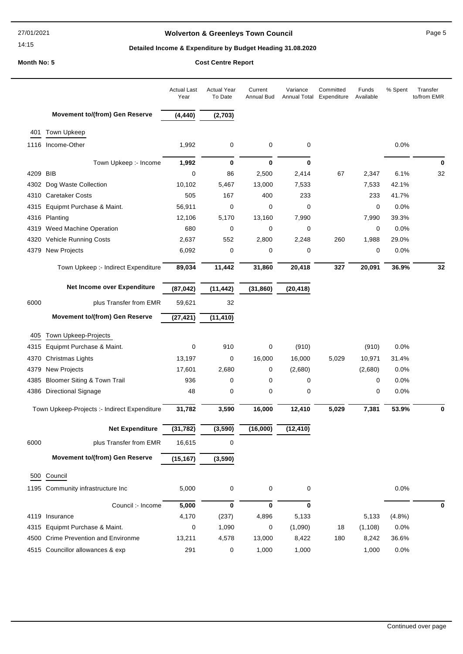## **Wolverton & Greenleys Town Council Page 5** Page 5

## **Detailed Income & Expenditure by Budget Heading 31.08.2020**

|          |                                              | <b>Actual Last</b><br>Year | <b>Actual Year</b><br>To Date | Current<br><b>Annual Bud</b> | Variance<br>Annual Total | Committed<br>Expenditure | Funds<br>Available | % Spent | Transfer<br>to/from EMR |
|----------|----------------------------------------------|----------------------------|-------------------------------|------------------------------|--------------------------|--------------------------|--------------------|---------|-------------------------|
|          | <b>Movement to/(from) Gen Reserve</b>        | (4, 440)                   | (2,703)                       |                              |                          |                          |                    |         |                         |
| 401      | Town Upkeep                                  |                            |                               |                              |                          |                          |                    |         |                         |
|          | 1116 Income-Other                            | 1,992                      | 0                             | 0                            | 0                        |                          |                    | 0.0%    |                         |
|          | Town Upkeep :- Income                        | 1,992                      | 0                             | $\bf{0}$                     | $\bf{0}$                 |                          |                    |         | 0                       |
| 4209 BIB |                                              | 0                          | 86                            | 2,500                        | 2,414                    | 67                       | 2,347              | 6.1%    | 32                      |
|          | 4302 Dog Waste Collection                    | 10,102                     | 5,467                         | 13,000                       | 7,533                    |                          | 7,533              | 42.1%   |                         |
|          | 4310 Caretaker Costs                         | 505                        | 167                           | 400                          | 233                      |                          | 233                | 41.7%   |                         |
| 4315     | Equipmt Purchase & Maint.                    | 56,911                     | 0                             | 0                            | 0                        |                          | 0                  | 0.0%    |                         |
|          | 4316 Planting                                | 12,106                     | 5,170                         | 13,160                       | 7,990                    |                          | 7,990              | 39.3%   |                         |
|          | 4319 Weed Machine Operation                  | 680                        | 0                             | 0                            | 0                        |                          | 0                  | 0.0%    |                         |
|          | 4320 Vehicle Running Costs                   | 2,637                      | 552                           | 2,800                        | 2,248                    | 260                      | 1,988              | 29.0%   |                         |
|          | 4379 New Projects                            | 6,092                      | 0                             | 0                            | 0                        |                          | 0                  | 0.0%    |                         |
|          | Town Upkeep :- Indirect Expenditure          | 89,034                     | 11,442                        | 31,860                       | 20,418                   | 327                      | 20,091             | 36.9%   | 32                      |
|          | Net Income over Expenditure                  | (87, 042)                  | (11, 442)                     | (31, 860)                    | (20, 418)                |                          |                    |         |                         |
| 6000     | plus Transfer from EMR                       | 59,621                     | 32                            |                              |                          |                          |                    |         |                         |
|          | <b>Movement to/(from) Gen Reserve</b>        | (27, 421)                  | (11, 410)                     |                              |                          |                          |                    |         |                         |
| 405      | Town Upkeep-Projects                         |                            |                               |                              |                          |                          |                    |         |                         |
| 4315     | Equipmt Purchase & Maint.                    | 0                          | 910                           | 0                            | (910)                    |                          | (910)              | $0.0\%$ |                         |
| 4370     | Christmas Lights                             | 13,197                     | 0                             | 16,000                       | 16,000                   | 5,029                    | 10,971             | 31.4%   |                         |
| 4379     | <b>New Projects</b>                          | 17,601                     | 2,680                         | $\mathbf 0$                  | (2,680)                  |                          | (2,680)            | 0.0%    |                         |
| 4385     | <b>Bloomer Siting &amp; Town Trail</b>       | 936                        | 0                             | 0                            | 0                        |                          | 0                  | 0.0%    |                         |
|          | 4386 Directional Signage                     | 48                         | 0                             | 0                            | 0                        |                          | 0                  | 0.0%    |                         |
|          | Town Upkeep-Projects :- Indirect Expenditure | 31,782                     | 3,590                         | 16,000                       | 12,410                   | 5,029                    | 7,381              | 53.9%   | 0                       |
|          | <b>Net Expenditure</b>                       | (31, 782)                  | (3, 590)                      | (16,000)                     | (12, 410)                |                          |                    |         |                         |
| 6000     | plus Transfer from EMR                       | 16,615                     | 0                             |                              |                          |                          |                    |         |                         |
|          | <b>Movement to/(from) Gen Reserve</b>        | (15, 167)                  | (3,590)                       |                              |                          |                          |                    |         |                         |
|          | 500 Council                                  |                            |                               |                              |                          |                          |                    |         |                         |
|          | 1195 Community infrastructure Inc            | 5,000                      | 0                             | 0                            | 0                        |                          |                    | 0.0%    |                         |
|          | Council :- Income                            | 5,000                      | 0                             | 0                            | 0                        |                          |                    |         | 0                       |
|          | 4119 Insurance                               | 4,170                      | (237)                         | 4,896                        | 5,133                    |                          | 5,133              | (4.8%)  |                         |
|          | 4315 Equipmt Purchase & Maint.               | 0                          | 1,090                         | 0                            | (1,090)                  | 18                       | (1, 108)           | 0.0%    |                         |
|          | 4500 Crime Prevention and Environme          | 13,211                     | 4,578                         | 13,000                       | 8,422                    | 180                      | 8,242              | 36.6%   |                         |
|          | 4515 Councillor allowances & exp             | 291                        | 0                             | 1,000                        | 1,000                    |                          | 1,000              | 0.0%    |                         |